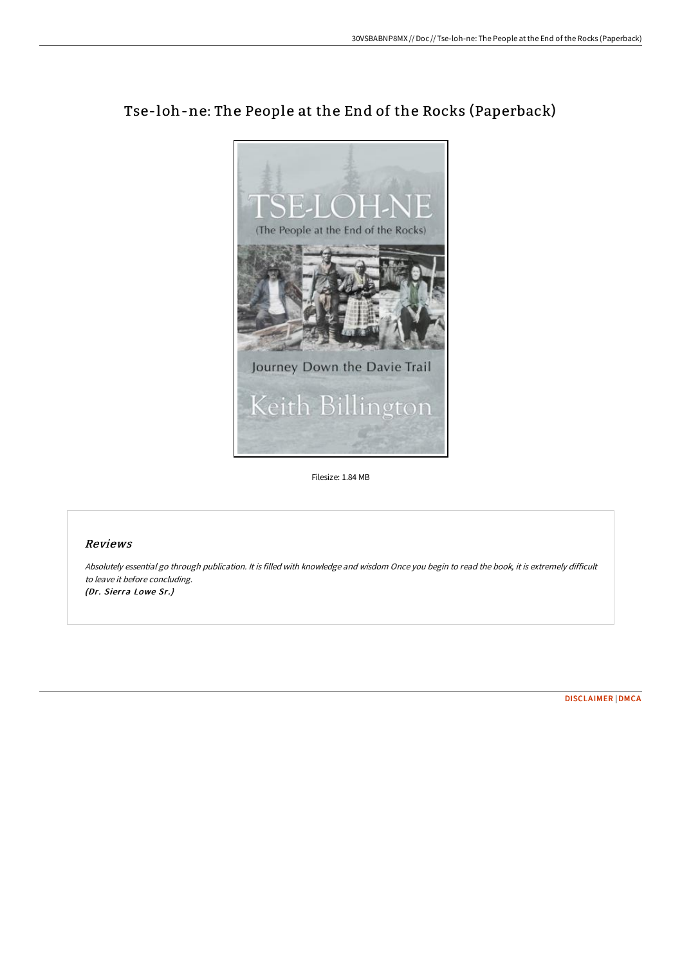

# Tse-loh-ne: The People at the End of the Rocks (Paperback)

Filesize: 1.84 MB

#### Reviews

Absolutely essential go through publication. It is filled with knowledge and wisdom Once you begin to read the book, it is extremely difficult to leave it before concluding. (Dr. Sierra Lowe Sr.)

[DISCLAIMER](http://bookera.tech/disclaimer.html) | [DMCA](http://bookera.tech/dmca.html)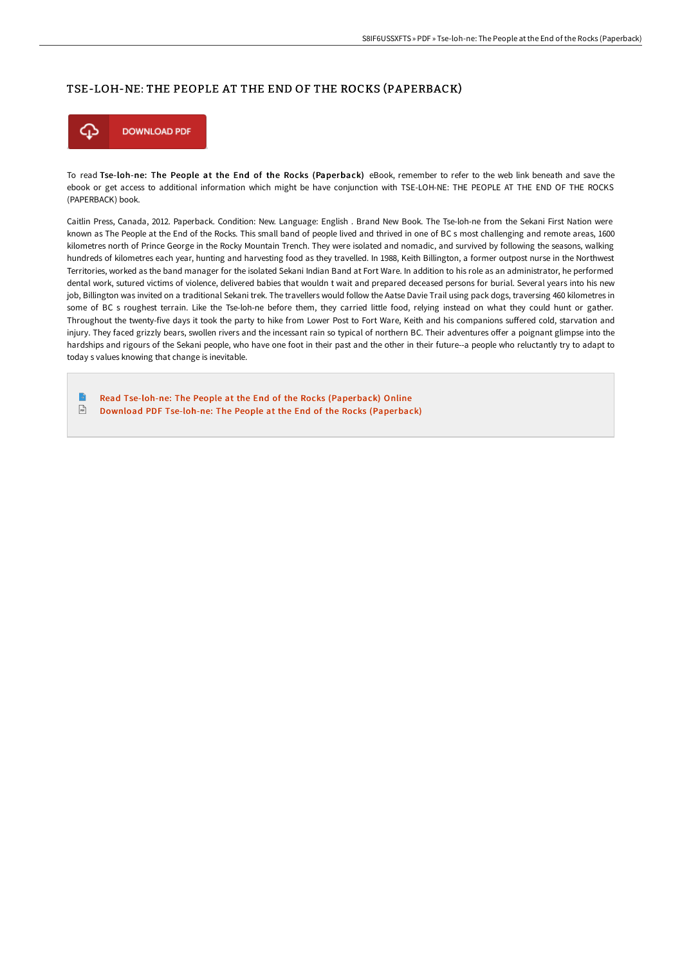### TSE-LOH-NE: THE PEOPLE AT THE END OF THE ROCKS (PAPERBACK)



To read Tse-loh-ne: The People at the End of the Rocks (Paperback) eBook, remember to refer to the web link beneath and save the ebook or get access to additional information which might be have conjunction with TSE-LOH-NE: THE PEOPLE AT THE END OF THE ROCKS (PAPERBACK) book.

Caitlin Press, Canada, 2012. Paperback. Condition: New. Language: English . Brand New Book. The Tse-loh-ne from the Sekani First Nation were known as The People at the End of the Rocks. This small band of people lived and thrived in one of BC s most challenging and remote areas, 1600 kilometres north of Prince George in the Rocky Mountain Trench. They were isolated and nomadic, and survived by following the seasons, walking hundreds of kilometres each year, hunting and harvesting food as they travelled. In 1988, Keith Billington, a former outpost nurse in the Northwest Territories, worked as the band manager for the isolated Sekani Indian Band at Fort Ware. In addition to his role as an administrator, he performed dental work, sutured victims of violence, delivered babies that wouldn t wait and prepared deceased persons for burial. Several years into his new job, Billington was invited on a traditional Sekani trek. The travellers would follow the Aatse Davie Trail using pack dogs, traversing 460 kilometres in some of BC s roughest terrain. Like the Tse-loh-ne before them, they carried little food, relying instead on what they could hunt or gather. Throughout the twenty-five days it took the party to hike from Lower Post to Fort Ware, Keith and his companions suffered cold, starvation and injury. They faced grizzly bears, swollen rivers and the incessant rain so typical of northern BC. Their adventures offer a poignant glimpse into the hardships and rigours of the Sekani people, who have one foot in their past and the other in their future--a people who reluctantly try to adapt to today s values knowing that change is inevitable.

Read Tse-loh-ne: The People at the End of the Rocks [\(Paperback\)](http://bookera.tech/tse-loh-ne-the-people-at-the-end-of-the-rocks-pa.html) Online  $\frac{1}{100}$ Download PDF Tse-loh-ne: The People at the End of the Rocks [\(Paperback\)](http://bookera.tech/tse-loh-ne-the-people-at-the-end-of-the-rocks-pa.html)